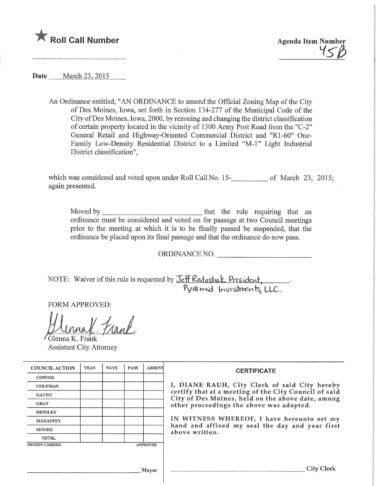

Roll Call Number<br>Agenda Item Number

Date March 23, 2015

An Ordinance entitled, "AN ORDINANCE to amend the Official Zoning Map of the City of Des Moines, Iowa, set forth in Section 134-277 of the Municipal Code of the City ofDes Moines, Iowa, 2000, by rezoning and changing the district classification of certain property located in the vicinity of 1300 Army Post Road from the "C-2" General Retail and Highway-Oriented Commercial District and "Rl-60" One-Family Low-Density Residential District to a Limited "M-l" Light Industrial District classification",

which was considered and voted upon under Roll Call No.  $15$ - $\mu$  of March 23, 2015; again presented.

Moved by that the rule requiring that an ordinance must be considered and voted on for passage at two Council meetings prior to the meeting at which it is to be finally passed be suspended, that the ordinance be placed upon its final passage and that the ordinance do now pass.

ORDINANCE NO.

NOTE: Waiver of this rule is requested by <u>Jeff Katashak, President</u> ryiamid Inveslments, LLC

FORM APPROVED:

nal Frank Glenna K. Frank

Assistant City Attorney

| <b>COUNCIL ACTION</b>                    | <b>YEAS</b> | <b>NAYS</b> | <b>PASS</b> | <b>ABSENT</b> | <b>CERTIFICATE</b><br>I, DIANE RAUH, City Clerk of said City hereby<br>certify that at a meeting of the City Council of said<br>City of Des Moines, held on the above date, among<br>other proceedings the above was adopted.<br>IN WITNESS WHEREOF, I have hereunto set my<br>hand and affixed my seal the day and year first<br>above written. |
|------------------------------------------|-------------|-------------|-------------|---------------|--------------------------------------------------------------------------------------------------------------------------------------------------------------------------------------------------------------------------------------------------------------------------------------------------------------------------------------------------|
| <b>COWNIE</b>                            |             |             |             |               |                                                                                                                                                                                                                                                                                                                                                  |
| <b>COLEMAN</b>                           |             |             |             |               |                                                                                                                                                                                                                                                                                                                                                  |
| <b>GATTO</b>                             |             |             |             |               |                                                                                                                                                                                                                                                                                                                                                  |
| <b>GRAY</b>                              |             |             |             |               |                                                                                                                                                                                                                                                                                                                                                  |
| <b>HENSLEY</b>                           |             |             |             |               |                                                                                                                                                                                                                                                                                                                                                  |
| <b>MAHAFFEY</b>                          |             |             |             |               |                                                                                                                                                                                                                                                                                                                                                  |
| <b>MOORE</b>                             |             |             |             |               |                                                                                                                                                                                                                                                                                                                                                  |
| <b>TOTAL</b>                             |             |             |             |               |                                                                                                                                                                                                                                                                                                                                                  |
| <b>MOTION CARRIED</b><br><b>APPROVED</b> |             |             |             |               |                                                                                                                                                                                                                                                                                                                                                  |
|                                          |             |             |             |               |                                                                                                                                                                                                                                                                                                                                                  |
| <b>Mayor</b>                             |             |             |             |               | City C                                                                                                                                                                                                                                                                                                                                           |